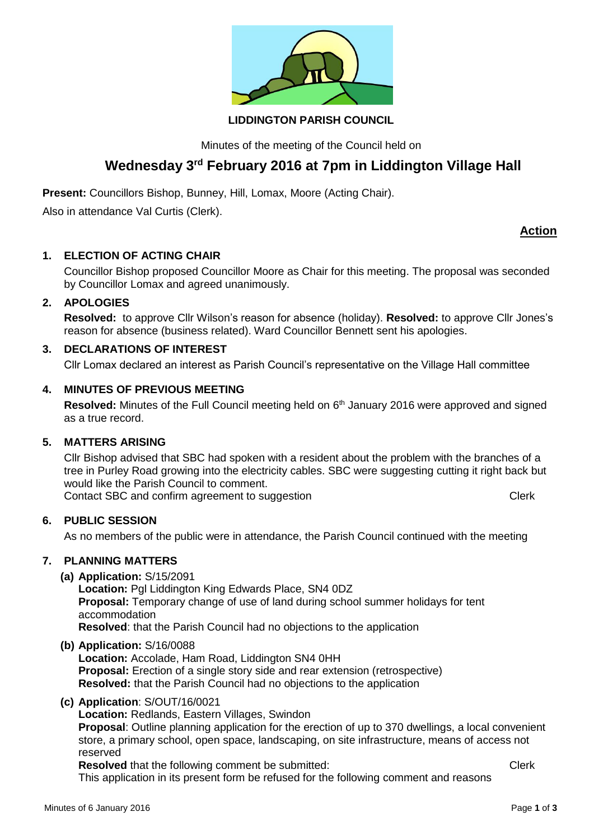

#### **LIDDINGTON PARISH COUNCIL**

Minutes of the meeting of the Council held on

# **Wednesday 3 rd February 2016 at 7pm in Liddington Village Hall**

**Present:** Councillors Bishop, Bunney, Hill, Lomax, Moore (Acting Chair).

Also in attendance Val Curtis (Clerk).

# **Action**

#### **1. ELECTION OF ACTING CHAIR**

Councillor Bishop proposed Councillor Moore as Chair for this meeting. The proposal was seconded by Councillor Lomax and agreed unanimously.

#### **2. APOLOGIES**

**Resolved:** to approve Cllr Wilson's reason for absence (holiday). **Resolved:** to approve Cllr Jones's reason for absence (business related). Ward Councillor Bennett sent his apologies.

## **3. DECLARATIONS OF INTEREST**

Cllr Lomax declared an interest as Parish Council's representative on the Village Hall committee

#### **4. MINUTES OF PREVIOUS MEETING**

Resolved: Minutes of the Full Council meeting held on 6<sup>th</sup> January 2016 were approved and signed as a true record.

#### **5. MATTERS ARISING**

Cllr Bishop advised that SBC had spoken with a resident about the problem with the branches of a tree in Purley Road growing into the electricity cables. SBC were suggesting cutting it right back but would like the Parish Council to comment. Contact SBC and confirm agreement to suggestion Contact SBC and confirm agreement to suggestion

#### **6. PUBLIC SESSION**

As no members of the public were in attendance, the Parish Council continued with the meeting

# **7. PLANNING MATTERS**

**(a) Application:** S/15/2091

**Location:** Pgl Liddington King Edwards Place, SN4 0DZ **Proposal:** Temporary change of use of land during school summer holidays for tent accommodation **Resolved**: that the Parish Council had no objections to the application

#### **(b) Application:** S/16/0088

**Location:** Accolade, Ham Road, Liddington SN4 0HH **Proposal:** Erection of a single story side and rear extension (retrospective) **Resolved:** that the Parish Council had no objections to the application

**(c) Application**: S/OUT/16/0021

**Location:** Redlands, Eastern Villages, Swindon **Proposal**: Outline planning application for the erection of up to 370 dwellings, a local convenient store, a primary school, open space, landscaping, on site infrastructure, means of access not reserved

**Resolved** that the following comment be submitted: Clerk

This application in its present form be refused for the following comment and reasons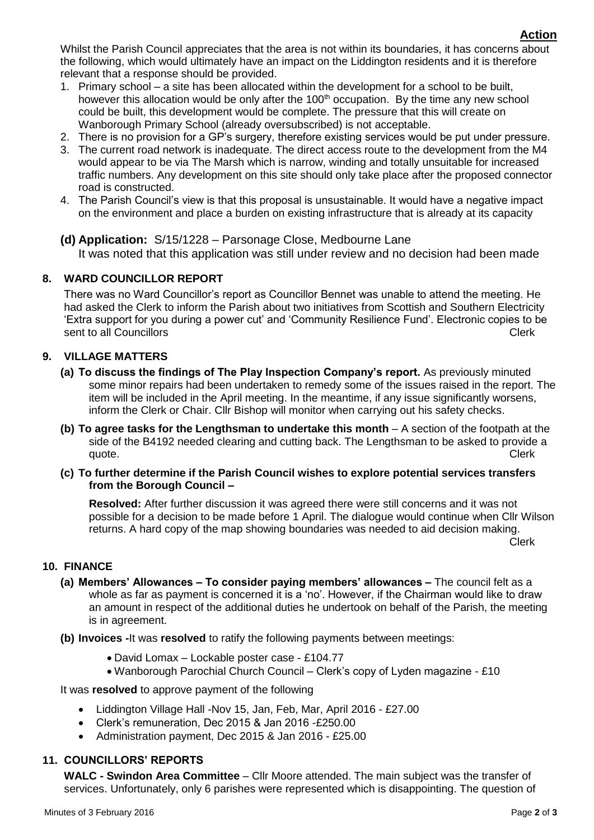Whilst the Parish Council appreciates that the area is not within its boundaries, it has concerns about the following, which would ultimately have an impact on the Liddington residents and it is therefore relevant that a response should be provided.

- 1. Primary school a site has been allocated within the development for a school to be built, however this allocation would be only after the 100<sup>th</sup> occupation. By the time any new school could be built, this development would be complete. The pressure that this will create on Wanborough Primary School (already oversubscribed) is not acceptable.
- 2. There is no provision for a GP's surgery, therefore existing services would be put under pressure.
- 3. The current road network is inadequate. The direct access route to the development from the M4 would appear to be via The Marsh which is narrow, winding and totally unsuitable for increased traffic numbers. Any development on this site should only take place after the proposed connector road is constructed.
- 4. The Parish Council's view is that this proposal is unsustainable. It would have a negative impact on the environment and place a burden on existing infrastructure that is already at its capacity
- **(d) Application:** S/15/1228 Parsonage Close, Medbourne Lane It was noted that this application was still under review and no decision had been made

#### **8. WARD COUNCILLOR REPORT**

There was no Ward Councillor's report as Councillor Bennet was unable to attend the meeting. He had asked the Clerk to inform the Parish about two initiatives from Scottish and Southern Electricity 'Extra support for you during a power cut' and 'Community Resilience Fund'. Electronic copies to be sent to all Councillors **Clerk** 

#### **9. VILLAGE MATTERS**

- **(a) To discuss the findings of The Play Inspection Company's report.** As previously minuted some minor repairs had been undertaken to remedy some of the issues raised in the report. The item will be included in the April meeting. In the meantime, if any issue significantly worsens, inform the Clerk or Chair. Cllr Bishop will monitor when carrying out his safety checks.
- **(b) To agree tasks for the Lengthsman to undertake this month** A section of the footpath at the side of the B4192 needed clearing and cutting back. The Lengthsman to be asked to provide a quote. Clerk
- **(c) To further determine if the Parish Council wishes to explore potential services transfers from the Borough Council –**

**Resolved:** After further discussion it was agreed there were still concerns and it was not possible for a decision to be made before 1 April. The dialogue would continue when Cllr Wilson returns. A hard copy of the map showing boundaries was needed to aid decision making.

Clerk

#### **10. FINANCE**

- **(a) Members' Allowances – To consider paying members' allowances –** The council felt as a whole as far as payment is concerned it is a 'no'. However, if the Chairman would like to draw an amount in respect of the additional duties he undertook on behalf of the Parish, the meeting is in agreement.
- **(b) Invoices -**It was **resolved** to ratify the following payments between meetings:
	- David Lomax Lockable poster case £104.77
	- Wanborough Parochial Church Council Clerk's copy of Lyden magazine £10

It was **resolved** to approve payment of the following

- Liddington Village Hall -Nov 15, Jan, Feb, Mar, April 2016 £27.00
- Clerk's remuneration, Dec 2015 & Jan 2016 -£250.00
- Administration payment, Dec 2015 & Jan 2016 £25.00

#### **11. COUNCILLORS' REPORTS**

**WALC - Swindon Area Committee** – Cllr Moore attended. The main subject was the transfer of services. Unfortunately, only 6 parishes were represented which is disappointing. The question of